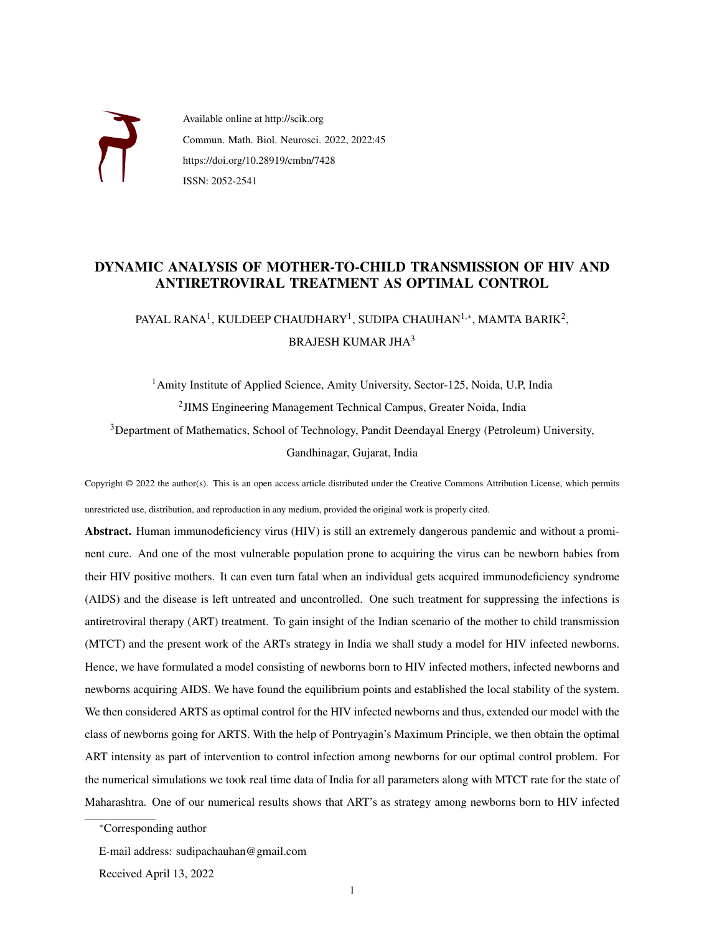

Available online at http://scik.org Commun. Math. Biol. Neurosci. 2022, 2022:45 https://doi.org/10.28919/cmbn/7428 ISSN: 2052-2541

# DYNAMIC ANALYSIS OF MOTHER-TO-CHILD TRANSMISSION OF HIV AND ANTIRETROVIRAL TREATMENT AS OPTIMAL CONTROL

PAYAL RANA $^{\rm l}$ , KULDEEP CHAUDHARY $^{\rm l}$ , SUDIPA CHAUHAN $^{\rm l, *}$ , MAMTA BARIK $^{\rm 2}$ , BRAJESH KUMAR JHA<sup>3</sup>

<sup>1</sup> Amity Institute of Applied Science, Amity University, Sector-125, Noida, U.P, India 2 JIMS Engineering Management Technical Campus, Greater Noida, India <sup>3</sup>Department of Mathematics, School of Technology, Pandit Deendayal Energy (Petroleum) University, Gandhinagar, Gujarat, India

Copyright © 2022 the author(s). This is an open access article distributed under the Creative Commons Attribution License, which permits unrestricted use, distribution, and reproduction in any medium, provided the original work is properly cited.

Abstract. Human immunodeficiency virus (HIV) is still an extremely dangerous pandemic and without a prominent cure. And one of the most vulnerable population prone to acquiring the virus can be newborn babies from their HIV positive mothers. It can even turn fatal when an individual gets acquired immunodeficiency syndrome (AIDS) and the disease is left untreated and uncontrolled. One such treatment for suppressing the infections is antiretroviral therapy (ART) treatment. To gain insight of the Indian scenario of the mother to child transmission (MTCT) and the present work of the ARTs strategy in India we shall study a model for HIV infected newborns. Hence, we have formulated a model consisting of newborns born to HIV infected mothers, infected newborns and newborns acquiring AIDS. We have found the equilibrium points and established the local stability of the system. We then considered ARTS as optimal control for the HIV infected newborns and thus, extended our model with the class of newborns going for ARTS. With the help of Pontryagin's Maximum Principle, we then obtain the optimal ART intensity as part of intervention to control infection among newborns for our optimal control problem. For the numerical simulations we took real time data of India for all parameters along with MTCT rate for the state of Maharashtra. One of our numerical results shows that ART's as strategy among newborns born to HIV infected

<sup>∗</sup>Corresponding author

E-mail address: sudipachauhan@gmail.com

Received April 13, 2022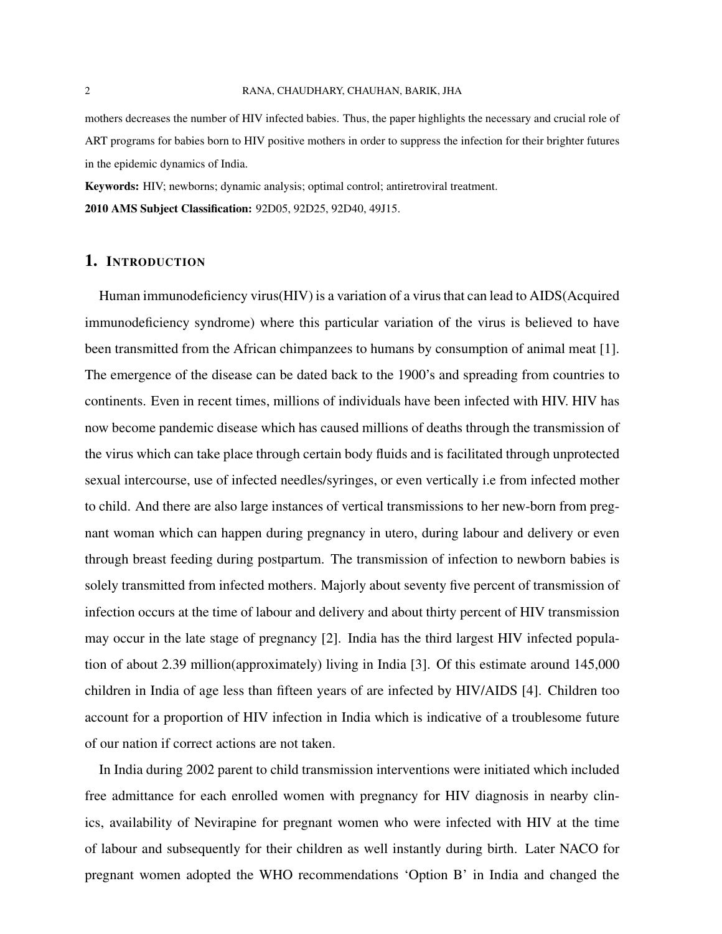#### 2 RANA, CHAUDHARY, CHAUHAN, BARIK, JHA

mothers decreases the number of HIV infected babies. Thus, the paper highlights the necessary and crucial role of ART programs for babies born to HIV positive mothers in order to suppress the infection for their brighter futures in the epidemic dynamics of India.

Keywords: HIV; newborns; dynamic analysis; optimal control; antiretroviral treatment. 2010 AMS Subject Classification: 92D05, 92D25, 92D40, 49J15.

## 1. INTRODUCTION

Human immunodeficiency virus(HIV) is a variation of a virus that can lead to AIDS(Acquired immunodeficiency syndrome) where this particular variation of the virus is believed to have been transmitted from the African chimpanzees to humans by consumption of animal meat [\[1\]](#page-12-0). The emergence of the disease can be dated back to the 1900's and spreading from countries to continents. Even in recent times, millions of individuals have been infected with HIV. HIV has now become pandemic disease which has caused millions of deaths through the transmission of the virus which can take place through certain body fluids and is facilitated through unprotected sexual intercourse, use of infected needles/syringes, or even vertically i.e from infected mother to child. And there are also large instances of vertical transmissions to her new-born from pregnant woman which can happen during pregnancy in utero, during labour and delivery or even through breast feeding during postpartum. The transmission of infection to newborn babies is solely transmitted from infected mothers. Majorly about seventy five percent of transmission of infection occurs at the time of labour and delivery and about thirty percent of HIV transmission may occur in the late stage of pregnancy [\[2\]](#page-12-1). India has the third largest HIV infected population of about 2.39 million(approximately) living in India [\[3\]](#page-12-2). Of this estimate around 145,000 children in India of age less than fifteen years of are infected by HIV/AIDS [\[4\]](#page-12-3). Children too account for a proportion of HIV infection in India which is indicative of a troublesome future of our nation if correct actions are not taken.

In India during 2002 parent to child transmission interventions were initiated which included free admittance for each enrolled women with pregnancy for HIV diagnosis in nearby clinics, availability of Nevirapine for pregnant women who were infected with HIV at the time of labour and subsequently for their children as well instantly during birth. Later NACO for pregnant women adopted the WHO recommendations 'Option B' in India and changed the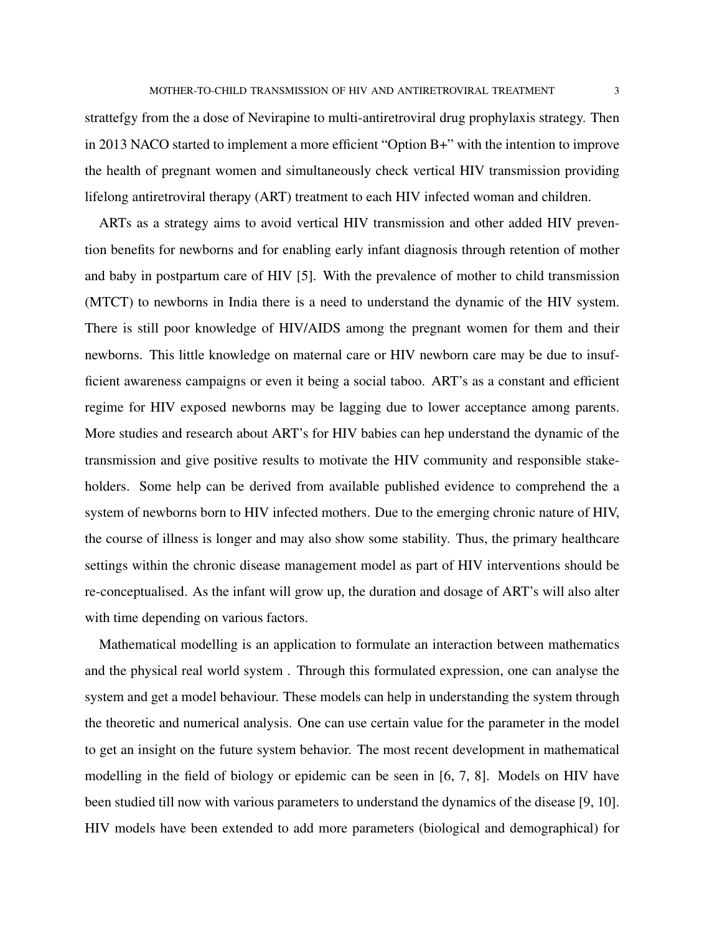strattefgy from the a dose of Nevirapine to multi-antiretroviral drug prophylaxis strategy. Then in 2013 NACO started to implement a more efficient "Option B+" with the intention to improve the health of pregnant women and simultaneously check vertical HIV transmission providing lifelong antiretroviral therapy (ART) treatment to each HIV infected woman and children.

ARTs as a strategy aims to avoid vertical HIV transmission and other added HIV prevention benefits for newborns and for enabling early infant diagnosis through retention of mother and baby in postpartum care of HIV [\[5\]](#page-12-4). With the prevalence of mother to child transmission (MTCT) to newborns in India there is a need to understand the dynamic of the HIV system. There is still poor knowledge of HIV/AIDS among the pregnant women for them and their newborns. This little knowledge on maternal care or HIV newborn care may be due to insufficient awareness campaigns or even it being a social taboo. ART's as a constant and efficient regime for HIV exposed newborns may be lagging due to lower acceptance among parents. More studies and research about ART's for HIV babies can hep understand the dynamic of the transmission and give positive results to motivate the HIV community and responsible stakeholders. Some help can be derived from available published evidence to comprehend the a system of newborns born to HIV infected mothers. Due to the emerging chronic nature of HIV, the course of illness is longer and may also show some stability. Thus, the primary healthcare settings within the chronic disease management model as part of HIV interventions should be re-conceptualised. As the infant will grow up, the duration and dosage of ART's will also alter with time depending on various factors.

Mathematical modelling is an application to formulate an interaction between mathematics and the physical real world system . Through this formulated expression, one can analyse the system and get a model behaviour. These models can help in understanding the system through the theoretic and numerical analysis. One can use certain value for the parameter in the model to get an insight on the future system behavior. The most recent development in mathematical modelling in the field of biology or epidemic can be seen in [\[6,](#page-12-5) [7,](#page-12-6) [8\]](#page-12-7). Models on HIV have been studied till now with various parameters to understand the dynamics of the disease [\[9,](#page-12-8) [10\]](#page-12-9). HIV models have been extended to add more parameters (biological and demographical) for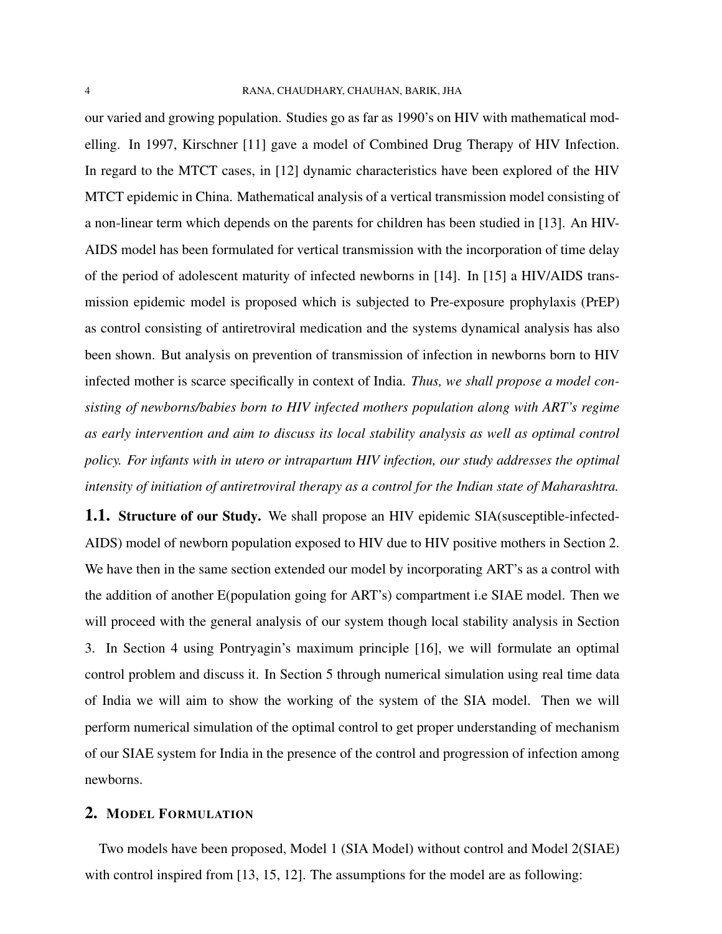our varied and growing population. Studies go as far as 1990's on HIV with mathematical modelling. In 1997, Kirschner [\[11\]](#page-12-10) gave a model of Combined Drug Therapy of HIV Infection. In regard to the MTCT cases, in [\[12\]](#page-13-0) dynamic characteristics have been explored of the HIV MTCT epidemic in China. Mathematical analysis of a vertical transmission model consisting of a non-linear term which depends on the parents for children has been studied in [\[13\]](#page-13-1). An HIV-AIDS model has been formulated for vertical transmission with the incorporation of time delay of the period of adolescent maturity of infected newborns in [\[14\]](#page-13-2). In [\[15\]](#page-13-3) a HIV/AIDS transmission epidemic model is proposed which is subjected to Pre-exposure prophylaxis (PrEP) as control consisting of antiretroviral medication and the systems dynamical analysis has also been shown. But analysis on prevention of transmission of infection in newborns born to HIV infected mother is scarce specifically in context of India. *Thus, we shall propose a model consisting of newborns/babies born to HIV infected mothers population along with ART's regime as early intervention and aim to discuss its local stability analysis as well as optimal control policy. For infants with in utero or intrapartum HIV infection, our study addresses the optimal intensity of initiation of antiretroviral therapy as a control for the Indian state of Maharashtra.*

**1.1.** Structure of our Study. We shall propose an HIV epidemic SIA(susceptible-infected-AIDS) model of newborn population exposed to HIV due to HIV positive mothers in Section [2.](#page-3-0) We have then in the same section extended our model by incorporating ART's as a control with the addition of another E(population going for ART's) compartment i.e SIAE model. Then we will proceed with the general analysis of our system though local stability analysis in Section [3.](#page-5-0) In Section [4](#page-6-0) using Pontryagin's maximum principle [\[16\]](#page-13-4), we will formulate an optimal control problem and discuss it. In Section [5](#page-7-0) through numerical simulation using real time data of India we will aim to show the working of the system of the SIA model. Then we will perform numerical simulation of the optimal control to get proper understanding of mechanism of our SIAE system for India in the presence of the control and progression of infection among newborns.

## <span id="page-3-0"></span>2. MODEL FORMULATION

Two models have been proposed, Model 1 (SIA Model) without control and Model 2(SIAE) with control inspired from [\[13,](#page-13-1) [15,](#page-13-3) [12\]](#page-13-0). The assumptions for the model are as following: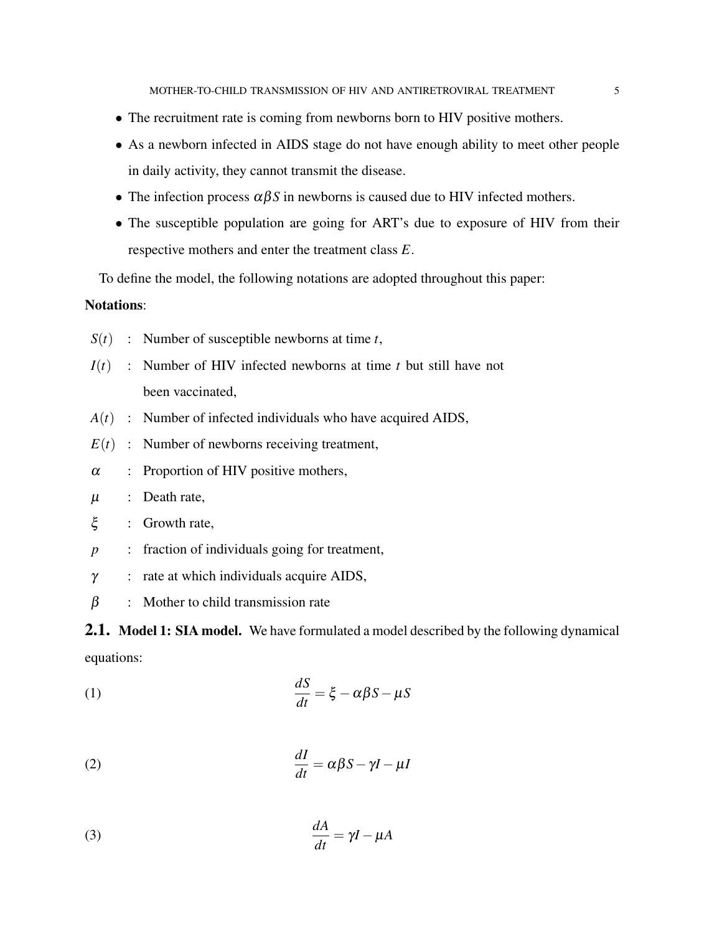- The recruitment rate is coming from newborns born to HIV positive mothers.
- As a newborn infected in AIDS stage do not have enough ability to meet other people in daily activity, they cannot transmit the disease.
- The infection process  $\alpha\beta S$  in newborns is caused due to HIV infected mothers.
- The susceptible population are going for ART's due to exposure of HIV from their respective mothers and enter the treatment class *E*.

To define the model, the following notations are adopted throughout this paper:

# Notations:

- $S(t)$  : Number of susceptible newborns at time *t*,
- *I*(*t*) : Number of HIV infected newborns at time *t* but still have not been vaccinated,
- *A*(*t*) : Number of infected individuals who have acquired AIDS,
- $E(t)$ : Number of newborns receiving treatment,
- $\alpha$  : Proportion of HIV positive mothers,
- $\mu$  : Death rate,
- ξ : Growth rate,
- *p* : fraction of individuals going for treatment,
- $\gamma$  : rate at which individuals acquire AIDS,
- $\beta$  : Mother to child transmission rate

<span id="page-4-0"></span>**2.1.** Model 1: SIA model. We have formulated a model described by the following dynamical equations:

*dA*

(1) 
$$
\frac{dS}{dt} = \xi - \alpha \beta S - \mu S
$$

<span id="page-4-1"></span>(2) 
$$
\frac{dI}{dt} = \alpha \beta S - \gamma I - \mu I
$$

$$
\frac{dA}{dt} = \gamma I - \mu A
$$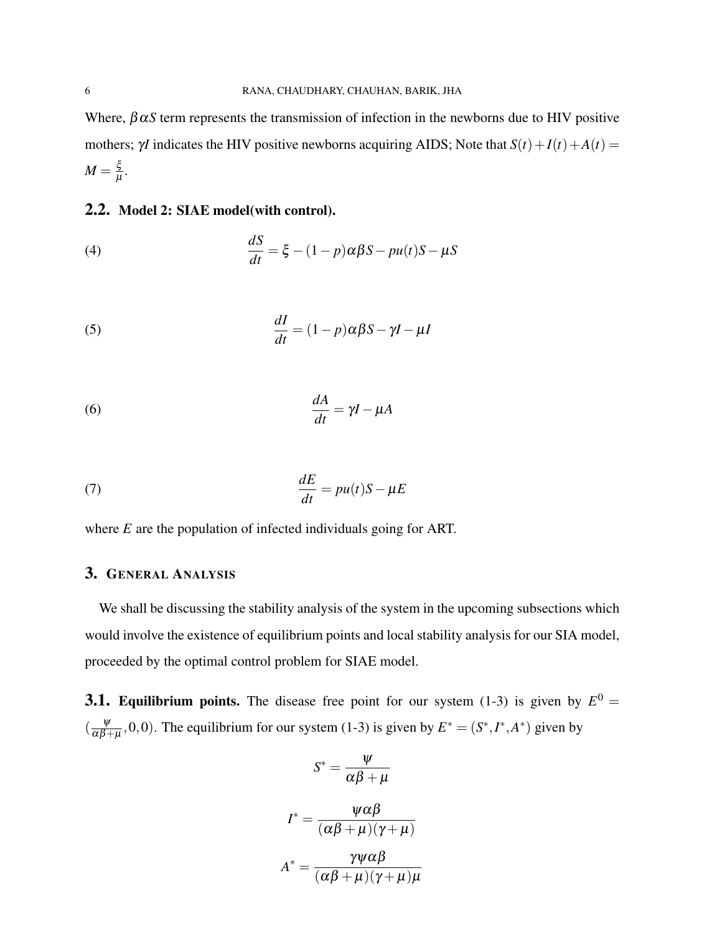Where,  $\beta \alpha S$  term represents the transmission of infection in the newborns due to HIV positive mothers;  $\gamma I$  indicates the HIV positive newborns acquiring AIDS; Note that  $S(t) + I(t) + A(t) =$  $M = \frac{5}{11}$  $\frac{\varsigma}{\mu}$ .

## <span id="page-5-1"></span>2.2. Model 2: SIAE model(with control).

(4) 
$$
\frac{dS}{dt} = \xi - (1 - p)\alpha\beta S - pu(t)S - \mu S
$$

(5) 
$$
\frac{dI}{dt} = (1 - p)\alpha\beta S - \gamma I - \mu I
$$

<span id="page-5-2"></span>(6) 
$$
\frac{dA}{dt} = \gamma I - \mu A
$$

(7) 
$$
\frac{dE}{dt} = pu(t)S - \mu E
$$

where *E* are the population of infected individuals going for ART.

# <span id="page-5-0"></span>3. GENERAL ANALYSIS

We shall be discussing the stability analysis of the system in the upcoming subsections which would involve the existence of equilibrium points and local stability analysis for our SIA model, proceeded by the optimal control problem for SIAE model.

**3.1. Equilibrium points.** The disease free point for our system [\(1](#page-4-0)[-3\)](#page-4-1) is given by  $E^0 =$  $\left(\frac{\Psi}{\alpha R}\right)$  $\frac{\psi}{\alpha\beta+\mu}$ , 0, 0). The equilibrium for our system [\(1](#page-4-0)[-3\)](#page-4-1) is given by  $E^* = (S^*, I^*, A^*)$  given by

$$
S^* = \frac{\psi}{\alpha \beta + \mu}
$$

$$
I^* = \frac{\psi \alpha \beta}{(\alpha \beta + \mu)(\gamma + \mu)}
$$

$$
A^* = \frac{\gamma \psi \alpha \beta}{(\alpha \beta + \mu)(\gamma + \mu)\mu}
$$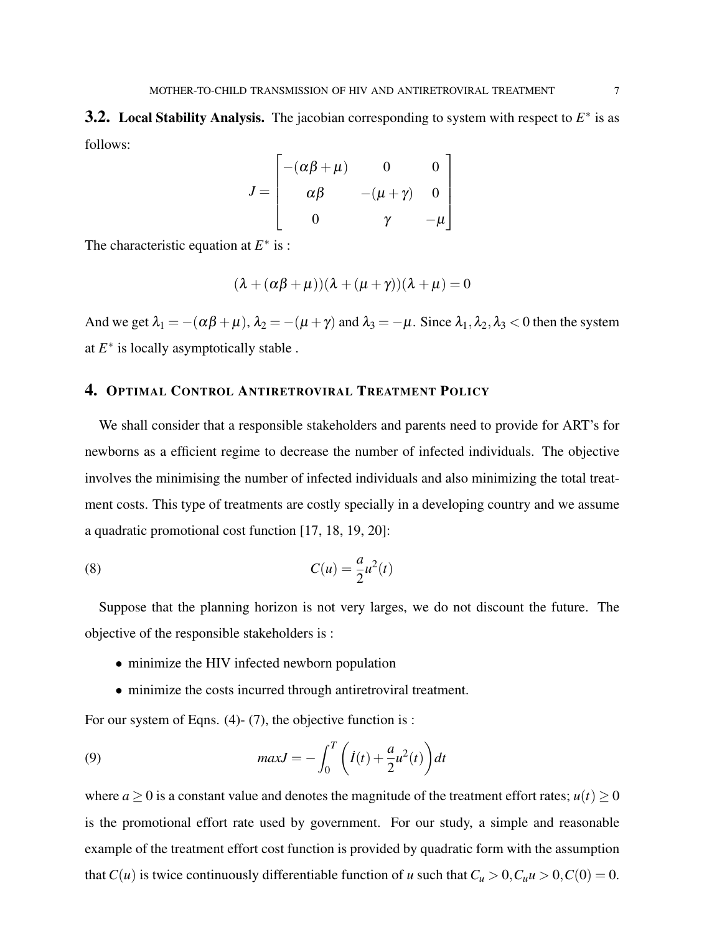**3.2.** Local Stability Analysis. The jacobian corresponding to system with respect to  $E^*$  is as follows:

$$
J = \begin{bmatrix} -(\alpha\beta + \mu) & 0 & 0 \\ \alpha\beta & -(\mu + \gamma) & 0 \\ 0 & \gamma & -\mu \end{bmatrix}
$$

The characteristic equation at  $E^*$  is :

$$
(\lambda + (\alpha \beta + \mu))(\lambda + (\mu + \gamma))(\lambda + \mu) = 0
$$

And we get  $\lambda_1 = -(\alpha \beta + \mu)$ ,  $\lambda_2 = -(\mu + \gamma)$  and  $\lambda_3 = -\mu$ . Since  $\lambda_1, \lambda_2, \lambda_3 < 0$  then the system at  $E^*$  is locally asymptotically stable.

# <span id="page-6-0"></span>4. OPTIMAL CONTROL ANTIRETROVIRAL TREATMENT POLICY

We shall consider that a responsible stakeholders and parents need to provide for ART's for newborns as a efficient regime to decrease the number of infected individuals. The objective involves the minimising the number of infected individuals and also minimizing the total treatment costs. This type of treatments are costly specially in a developing country and we assume a quadratic promotional cost function [\[17,](#page-13-5) [18,](#page-13-6) [19,](#page-13-7) [20\]](#page-13-8):

(8) 
$$
C(u) = \frac{a}{2}u^2(t)
$$

Suppose that the planning horizon is not very larges, we do not discount the future. The objective of the responsible stakeholders is :

- minimize the HIV infected newborn population
- minimize the costs incurred through antiretroviral treatment.

For our system of Eqns. [\(4\)](#page-5-1)- [\(7\)](#page-5-2), the objective function is :

(9) 
$$
maxJ = -\int_0^T \left( \dot{I}(t) + \frac{a}{2} u^2(t) \right) dt
$$

where  $a \ge 0$  is a constant value and denotes the magnitude of the treatment effort rates;  $u(t) \ge 0$ is the promotional effort rate used by government. For our study, a simple and reasonable example of the treatment effort cost function is provided by quadratic form with the assumption that *C*(*u*) is twice continuously differentiable function of *u* such that  $C_u > 0$ ,  $C_u u > 0$ ,  $C(0) = 0$ .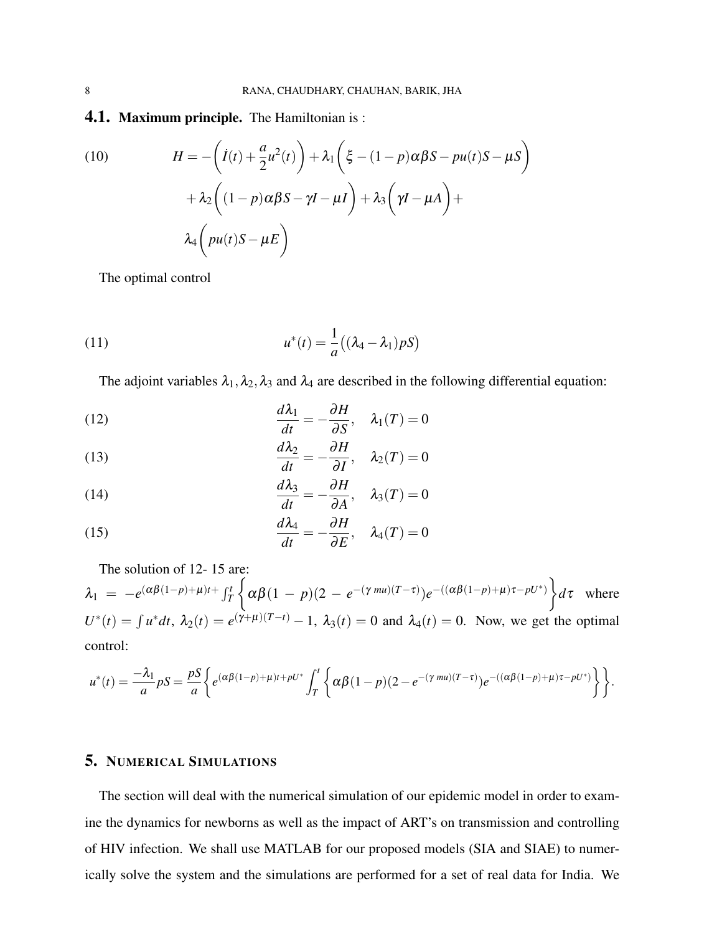#### **4.1. Maximum principle.** The Hamiltonian is :

(10) 
$$
H = -\left(\dot{I}(t) + \frac{a}{2}u^2(t)\right) + \lambda_1\left(\xi - (1 - p)\alpha\beta S - pu(t)S - \mu S\right) + \lambda_2\left((1 - p)\alpha\beta S - \gamma I - \mu I\right) + \lambda_3\left(\gamma I - \mu A\right) +
$$

$$
\lambda_4\left(pu(t)S - \mu E\right)
$$

The optimal control

(11) 
$$
u^*(t) = \frac{1}{a}((\lambda_4 - \lambda_1)pS)
$$

The adjoint variables  $\lambda_1, \lambda_2, \lambda_3$  and  $\lambda_4$  are described in the following differential equation:

<span id="page-7-1"></span>(12) 
$$
\frac{d\lambda_1}{dt} = -\frac{\partial H}{\partial S}, \quad \lambda_1(T) = 0
$$

(13) 
$$
\frac{d\lambda_2}{dt} = -\frac{\partial H}{\partial I}, \quad \lambda_2(T) = 0
$$

(14) 
$$
\frac{d\lambda_3}{dt} = -\frac{\partial H}{\partial A}, \quad \lambda_3(T) = 0
$$

<span id="page-7-2"></span>(15) 
$$
\frac{d\lambda_4}{dt} = -\frac{\partial H}{\partial E}, \quad \lambda_4(T) = 0
$$

The solution of [12-](#page-7-1) [15](#page-7-2) are:

 $\lambda_1 = -e^{(\alpha\beta(1-p)+\mu)t} \int_T^t$  $\int$  $\alpha\beta(1-p)(2-e^{-(\gamma mu)(T-\tau)})e^{-((\alpha\beta(1-p)+\mu)\tau-pU^*)}$ *d*τ where  $U^*(t) = \int u^* dt$ ,  $\lambda_2(t) = e^{(\gamma+\mu)(T-t)} - 1$ ,  $\lambda_3(t) = 0$  and  $\lambda_4(t) = 0$ . Now, we get the optimal control:

$$
u^*(t) = \frac{-\lambda_1}{a} pS = \frac{pS}{a} \bigg\{ e^{(\alpha\beta(1-p)+\mu)t + pU^*} \int_T^t \bigg\{ \alpha\beta(1-p)(2-e^{-(\gamma mu)(T-\tau)})e^{-((\alpha\beta(1-p)+\mu)\tau-pU^*)} \bigg\} \bigg\}.
$$

### <span id="page-7-0"></span>5. NUMERICAL SIMULATIONS

The section will deal with the numerical simulation of our epidemic model in order to examine the dynamics for newborns as well as the impact of ART's on transmission and controlling of HIV infection. We shall use MATLAB for our proposed models (SIA and SIAE) to numerically solve the system and the simulations are performed for a set of real data for India. We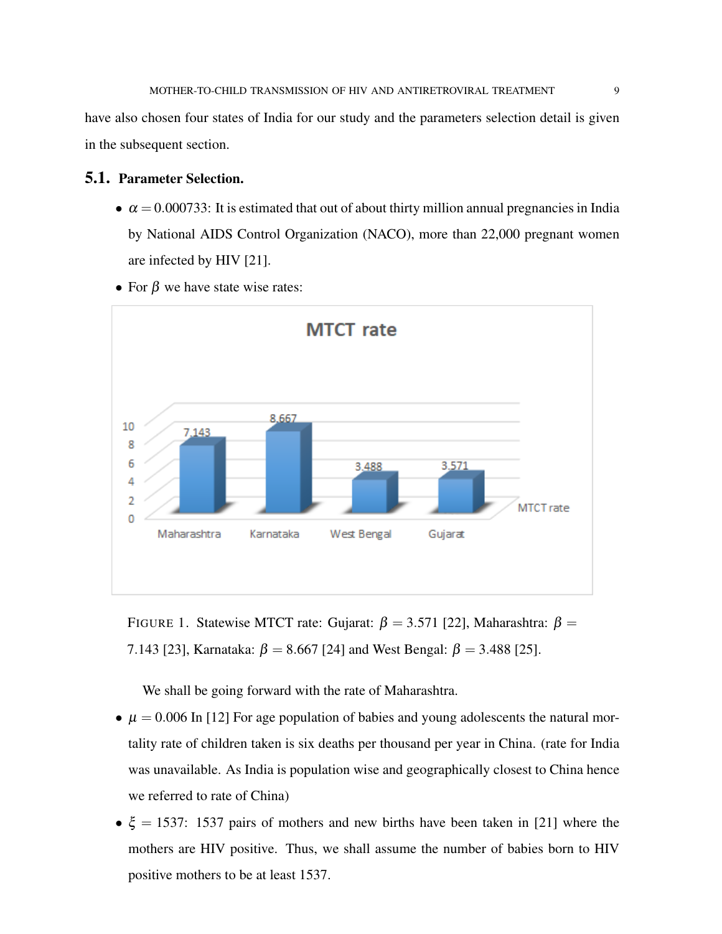have also chosen four states of India for our study and the parameters selection detail is given in the subsequent section.

## 5.1. Parameter Selection.

•  $\alpha = 0.000733$ : It is estimated that out of about thirty million annual pregnancies in India by National AIDS Control Organization (NACO), more than 22,000 pregnant women are infected by HIV [\[21\]](#page-13-9).



• For  $\beta$  we have state wise rates:

FIGURE 1. Statewise MTCT rate: Gujarat:  $\beta = 3.571$  [\[22\]](#page-13-10), Maharashtra: β = 7.143 [\[23\]](#page-13-11), Karnataka:  $\beta = 8.667$  [\[24\]](#page-13-12) and West Bengal:  $\beta = 3.488$  [\[25\]](#page-14-0).

We shall be going forward with the rate of Maharashtra.

- $\mu = 0.006$  In [\[12\]](#page-13-0) For age population of babies and young adolescents the natural mortality rate of children taken is six deaths per thousand per year in China. (rate for India was unavailable. As India is population wise and geographically closest to China hence we referred to rate of China)
- $\xi = 1537$ : 1537 pairs of mothers and new births have been taken in [\[21\]](#page-13-9) where the mothers are HIV positive. Thus, we shall assume the number of babies born to HIV positive mothers to be at least 1537.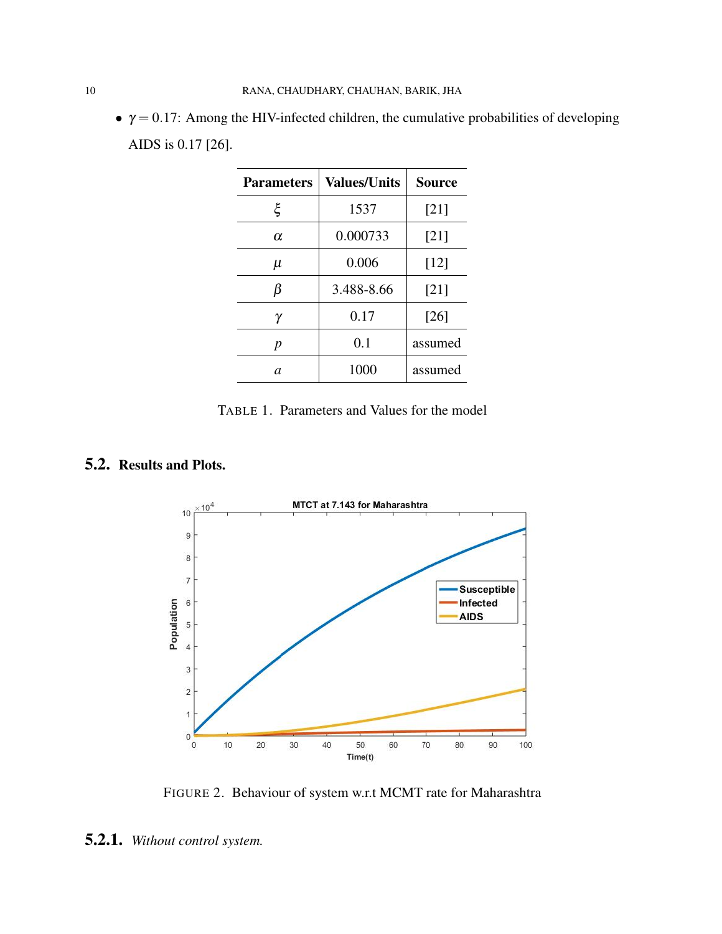<span id="page-9-1"></span>•  $\gamma = 0.17$ : Among the HIV-infected children, the cumulative probabilities of developing AIDS is 0.17 [\[26\]](#page-14-1).

| <b>Parameters</b> | <b>Values/Units</b> | <b>Source</b> |
|-------------------|---------------------|---------------|
| ξ                 | 1537                | [21]          |
| $\alpha$          | 0.000733            | [21]          |
| μ                 | 0.006               | $[12]$        |
| β                 | 3.488-8.66          | [21]          |
| γ                 | 0.17                | [26]          |
| p                 | 0.1                 | assumed       |
| a                 | 1000                | assumed       |

TABLE 1. Parameters and Values for the model

# <span id="page-9-0"></span>5.2. Results and Plots.



FIGURE 2. Behaviour of system w.r.t MCMT rate for Maharashtra

<sup>5.2.1.</sup> *Without control system.*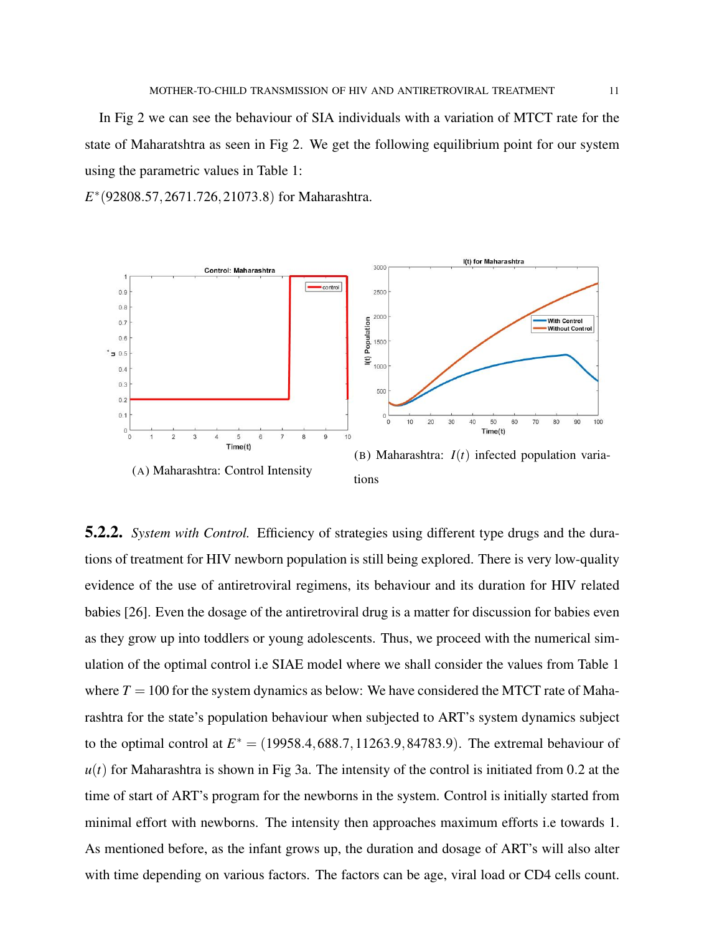In Fig [2](#page-9-0) we can see the behaviour of SIA individuals with a variation of MTCT rate for the state of Maharatshtra as seen in Fig [2.](#page-9-0) We get the following equilibrium point for our system using the parametric values in Table [1:](#page-9-1)

*E* ∗ (92808.57,2671.726,21073.8) for Maharashtra.

<span id="page-10-0"></span>

5.2.2. *System with Control.* Efficiency of strategies using different type drugs and the durations of treatment for HIV newborn population is still being explored. There is very low-quality evidence of the use of antiretroviral regimens, its behaviour and its duration for HIV related babies [\[26\]](#page-14-1). Even the dosage of the antiretroviral drug is a matter for discussion for babies even as they grow up into toddlers or young adolescents. Thus, we proceed with the numerical simulation of the optimal control i.e SIAE model where we shall consider the values from Table [1](#page-9-1) where  $T = 100$  for the system dynamics as below: We have considered the MTCT rate of Maharashtra for the state's population behaviour when subjected to ART's system dynamics subject to the optimal control at  $E^* = (19958.4, 688.7, 11263.9, 84783.9)$ . The extremal behaviour of  $u(t)$  for Maharashtra is shown in Fig [3a.](#page-10-0) The intensity of the control is initiated from 0.2 at the time of start of ART's program for the newborns in the system. Control is initially started from minimal effort with newborns. The intensity then approaches maximum efforts i.e towards 1. As mentioned before, as the infant grows up, the duration and dosage of ART's will also alter with time depending on various factors. The factors can be age, viral load or CD4 cells count.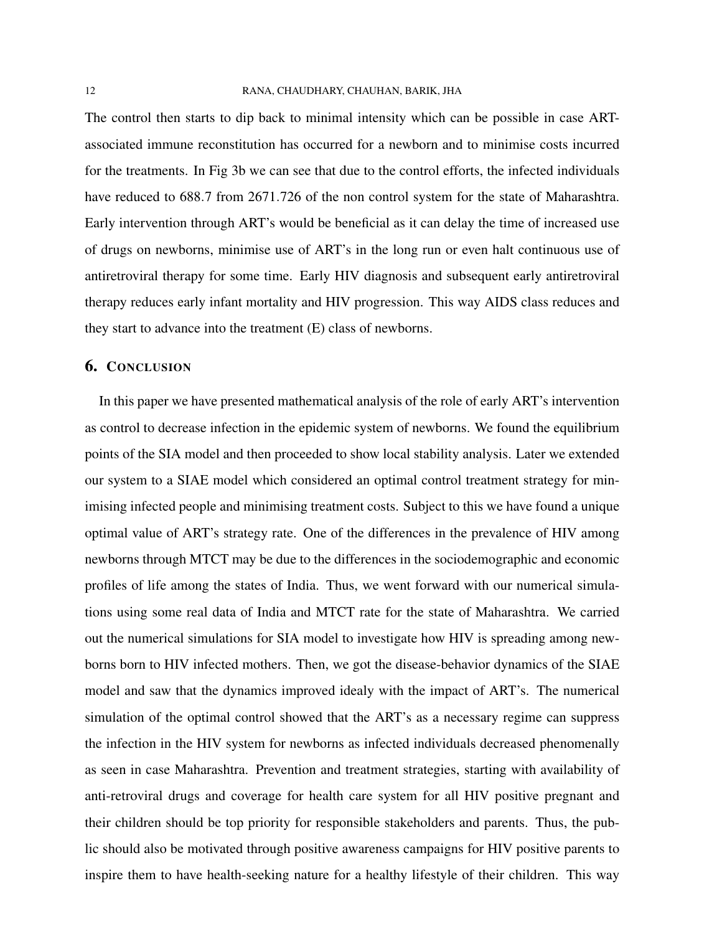The control then starts to dip back to minimal intensity which can be possible in case ARTassociated immune reconstitution has occurred for a newborn and to minimise costs incurred for the treatments. In Fig [3b](#page-10-0) we can see that due to the control efforts, the infected individuals have reduced to 688.7 from 2671.726 of the non control system for the state of Maharashtra. Early intervention through ART's would be beneficial as it can delay the time of increased use of drugs on newborns, minimise use of ART's in the long run or even halt continuous use of antiretroviral therapy for some time. Early HIV diagnosis and subsequent early antiretroviral therapy reduces early infant mortality and HIV progression. This way AIDS class reduces and they start to advance into the treatment (E) class of newborns.

## 6. CONCLUSION

In this paper we have presented mathematical analysis of the role of early ART's intervention as control to decrease infection in the epidemic system of newborns. We found the equilibrium points of the SIA model and then proceeded to show local stability analysis. Later we extended our system to a SIAE model which considered an optimal control treatment strategy for minimising infected people and minimising treatment costs. Subject to this we have found a unique optimal value of ART's strategy rate. One of the differences in the prevalence of HIV among newborns through MTCT may be due to the differences in the sociodemographic and economic profiles of life among the states of India. Thus, we went forward with our numerical simulations using some real data of India and MTCT rate for the state of Maharashtra. We carried out the numerical simulations for SIA model to investigate how HIV is spreading among newborns born to HIV infected mothers. Then, we got the disease-behavior dynamics of the SIAE model and saw that the dynamics improved idealy with the impact of ART's. The numerical simulation of the optimal control showed that the ART's as a necessary regime can suppress the infection in the HIV system for newborns as infected individuals decreased phenomenally as seen in case Maharashtra. Prevention and treatment strategies, starting with availability of anti-retroviral drugs and coverage for health care system for all HIV positive pregnant and their children should be top priority for responsible stakeholders and parents. Thus, the public should also be motivated through positive awareness campaigns for HIV positive parents to inspire them to have health-seeking nature for a healthy lifestyle of their children. This way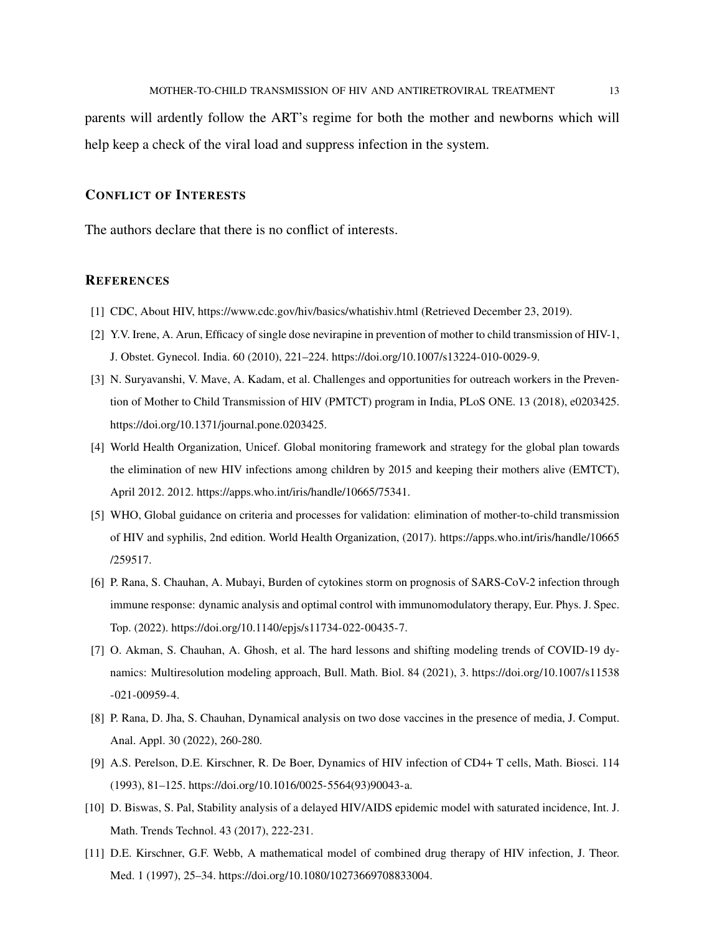parents will ardently follow the ART's regime for both the mother and newborns which will help keep a check of the viral load and suppress infection in the system.

## CONFLICT OF INTERESTS

The authors declare that there is no conflict of interests.

### **REFERENCES**

- <span id="page-12-0"></span>[1] CDC, About HIV,<https://www.cdc.gov/hiv/basics/whatishiv.html> (Retrieved December 23, 2019).
- <span id="page-12-1"></span>[2] Y.V. Irene, A. Arun, Efficacy of single dose nevirapine in prevention of mother to child transmission of HIV-1, J. Obstet. Gynecol. India. 60 (2010), 221–224. [https://doi.org/10.1007/s13224-010-0029-9.](https://doi.org/10.1007/s13224-010-0029-9)
- <span id="page-12-2"></span>[3] N. Suryavanshi, V. Mave, A. Kadam, et al. Challenges and opportunities for outreach workers in the Prevention of Mother to Child Transmission of HIV (PMTCT) program in India, PLoS ONE. 13 (2018), e0203425. https://doi.org/10.1371/journal.pone.0203425.
- <span id="page-12-3"></span>[4] World Health Organization, Unicef. Global monitoring framework and strategy for the global plan towards the elimination of new HIV infections among children by 2015 and keeping their mothers alive (EMTCT), April 2012. 2012. [https://apps.who.int/iris/handle/10665/75341.](https://apps.who.int/iris/handle/10665/75341)
- <span id="page-12-4"></span>[5] WHO, Global guidance on criteria and processes for validation: elimination of mother-to-child transmission of HIV and syphilis, 2nd edition. World Health Organization, (2017). [https://apps.who.int/iris/handle/10665](https://apps.who.int/iris/handle/10665/259517) [/259517.](https://apps.who.int/iris/handle/10665/259517)
- <span id="page-12-5"></span>[6] P. Rana, S. Chauhan, A. Mubayi, Burden of cytokines storm on prognosis of SARS-CoV-2 infection through immune response: dynamic analysis and optimal control with immunomodulatory therapy, Eur. Phys. J. Spec. Top. (2022). [https://doi.org/10.1140/epjs/s11734-022-00435-7.](https://doi.org/10.1140/epjs/s11734-022-00435-7)
- <span id="page-12-6"></span>[7] O. Akman, S. Chauhan, A. Ghosh, et al. The hard lessons and shifting modeling trends of COVID-19 dynamics: Multiresolution modeling approach, Bull. Math. Biol. 84 (2021), 3. [https://doi.org/10.1007/s11538](https://doi.org/10.1007/s11538-021-00959-4) [-021-00959-4.](https://doi.org/10.1007/s11538-021-00959-4)
- <span id="page-12-7"></span>[8] P. Rana, D. Jha, S. Chauhan, Dynamical analysis on two dose vaccines in the presence of media, J. Comput. Anal. Appl. 30 (2022), 260-280.
- <span id="page-12-8"></span>[9] A.S. Perelson, D.E. Kirschner, R. De Boer, Dynamics of HIV infection of CD4+ T cells, Math. Biosci. 114 (1993), 81–125. [https://doi.org/10.1016/0025-5564\(93\)90043-a.](https://doi.org/10.1016/0025-5564(93)90043-a)
- <span id="page-12-9"></span>[10] D. Biswas, S. Pal, Stability analysis of a delayed HIV/AIDS epidemic model with saturated incidence, Int. J. Math. Trends Technol. 43 (2017), 222-231.
- <span id="page-12-10"></span>[11] D.E. Kirschner, G.F. Webb, A mathematical model of combined drug therapy of HIV infection, J. Theor. Med. 1 (1997), 25–34. [https://doi.org/10.1080/10273669708833004.](https://doi.org/10.1080/10273669708833004)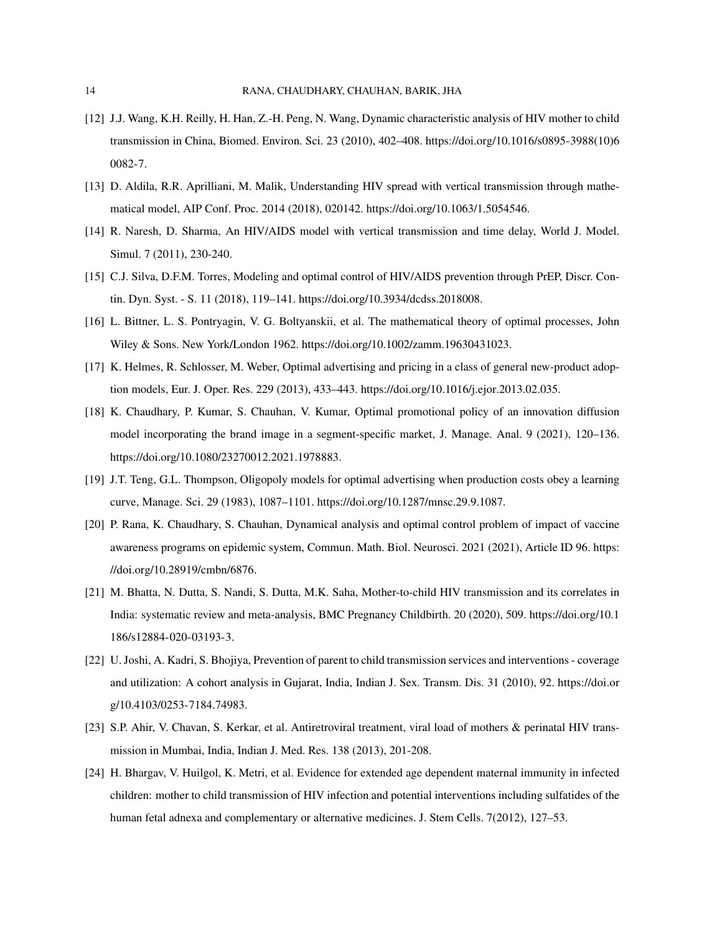- <span id="page-13-0"></span>[12] J.J. Wang, K.H. Reilly, H. Han, Z.-H. Peng, N. Wang, Dynamic characteristic analysis of HIV mother to child transmission in China, Biomed. Environ. Sci. 23 (2010), 402–408. [https://doi.org/10.1016/s0895-3988\(10\)6](https://doi.org/10.1016/s0895-3988(10)60082-7) [0082-7.](https://doi.org/10.1016/s0895-3988(10)60082-7)
- <span id="page-13-1"></span>[13] D. Aldila, R.R. Aprilliani, M. Malik, Understanding HIV spread with vertical transmission through mathematical model, AIP Conf. Proc. 2014 (2018), 020142. https://doi.org/10.1063/1.5054546.
- <span id="page-13-2"></span>[14] R. Naresh, D. Sharma, An HIV/AIDS model with vertical transmission and time delay, World J. Model. Simul. 7 (2011), 230-240.
- <span id="page-13-3"></span>[15] C.J. Silva, D.F.M. Torres, Modeling and optimal control of HIV/AIDS prevention through PrEP, Discr. Contin. Dyn. Syst. - S. 11 (2018), 119–141. [https://doi.org/10.3934/dcdss.2018008.](https://doi.org/10.3934/dcdss.2018008)
- <span id="page-13-4"></span>[16] L. Bittner, L. S. Pontryagin, V. G. Boltyanskii, et al. The mathematical theory of optimal processes, John Wiley & Sons. New York/London 1962. [https://doi.org/10.1002/zamm.19630431023.](https://doi.org/10.1002/zamm.19630431023)
- <span id="page-13-5"></span>[17] K. Helmes, R. Schlosser, M. Weber, Optimal advertising and pricing in a class of general new-product adoption models, Eur. J. Oper. Res. 229 (2013), 433–443. [https://doi.org/10.1016/j.ejor.2013.02.035.](https://doi.org/10.1016/j.ejor.2013.02.035)
- <span id="page-13-6"></span>[18] K. Chaudhary, P. Kumar, S. Chauhan, V. Kumar, Optimal promotional policy of an innovation diffusion model incorporating the brand image in a segment-specific market, J. Manage. Anal. 9 (2021), 120–136. [https://doi.org/10.1080/23270012.2021.1978883.](https://doi.org/10.1080/23270012.2021.1978883)
- <span id="page-13-7"></span>[19] J.T. Teng, G.L. Thompson, Oligopoly models for optimal advertising when production costs obey a learning curve, Manage. Sci. 29 (1983), 1087–1101. [https://doi.org/10.1287/mnsc.29.9.1087.](https://doi.org/10.1287/mnsc.29.9.1087)
- <span id="page-13-8"></span>[20] P. Rana, K. Chaudhary, S. Chauhan, Dynamical analysis and optimal control problem of impact of vaccine awareness programs on epidemic system, Commun. Math. Biol. Neurosci. 2021 (2021), Article ID 96. [https:](https://doi.org/10.28919/cmbn/6876) [//doi.org/10.28919/cmbn/6876.](https://doi.org/10.28919/cmbn/6876)
- <span id="page-13-9"></span>[21] M. Bhatta, N. Dutta, S. Nandi, S. Dutta, M.K. Saha, Mother-to-child HIV transmission and its correlates in India: systematic review and meta-analysis, BMC Pregnancy Childbirth. 20 (2020), 509. [https://doi.org/10.1](https://doi.org/10.1186/s12884-020-03193-3) [186/s12884-020-03193-3.](https://doi.org/10.1186/s12884-020-03193-3)
- <span id="page-13-10"></span>[22] U. Joshi, A. Kadri, S. Bhojiya, Prevention of parent to child transmission services and interventions - coverage and utilization: A cohort analysis in Gujarat, India, Indian J. Sex. Transm. Dis. 31 (2010), 92. [https://doi.or](https://doi.org/10.4103/0253-7184.74983) [g/10.4103/0253-7184.74983.](https://doi.org/10.4103/0253-7184.74983)
- <span id="page-13-11"></span>[23] S.P. Ahir, V. Chavan, S. Kerkar, et al. Antiretroviral treatment, viral load of mothers & perinatal HIV transmission in Mumbai, India, Indian J. Med. Res. 138 (2013), 201-208.
- <span id="page-13-12"></span>[24] H. Bhargav, V. Huilgol, K. Metri, et al. Evidence for extended age dependent maternal immunity in infected children: mother to child transmission of HIV infection and potential interventions including sulfatides of the human fetal adnexa and complementary or alternative medicines. J. Stem Cells. 7(2012), 127–53.